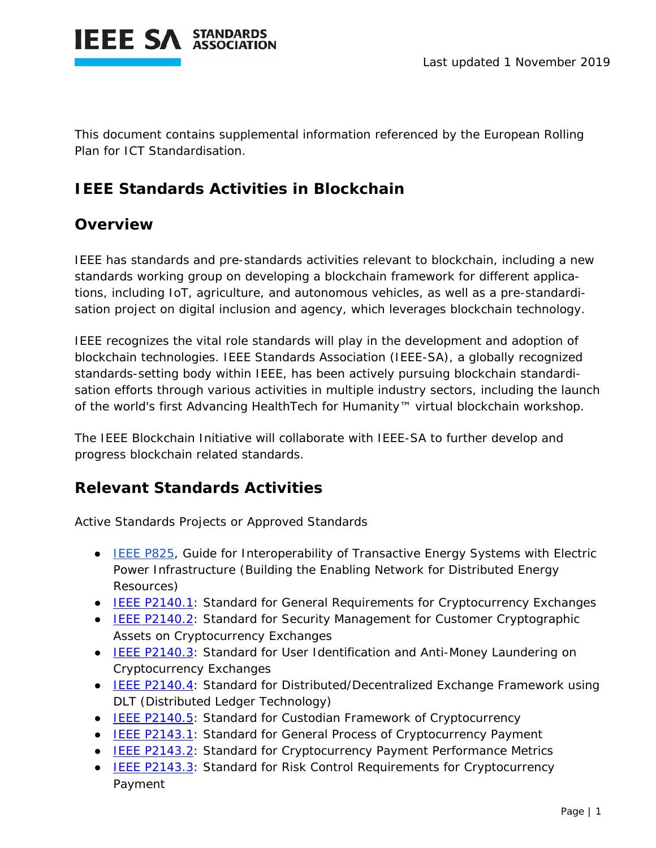

This document contains supplemental information referenced by the European Rolling Plan for ICT Standardisation.

## **IEEE Standards Activities in Blockchain**

## **Overview**

IEEE has standards and pre-standards activities relevant to blockchain, including a new standards working group on developing a blockchain framework for different applications, including IoT, agriculture, and autonomous vehicles, as well as a pre-standardisation project on digital inclusion and agency, which leverages blockchain technology.

IEEE recognizes the vital role standards will play in the development and adoption of blockchain technologies. IEEE Standards Association (IEEE-SA), a globally recognized standards-setting body within IEEE, has been actively pursuing blockchain standardisation efforts through various activities in multiple industry sectors, including the launch of the world's first Advancing HealthTech for Humanity™ virtual blockchain workshop.

The IEEE Blockchain Initiative will collaborate with IEEE-SA to further develop and progress blockchain related standards.

## **Relevant Standards Activities**

Active Standards Projects or Approved Standards

- IEEE P825, Guide for Interoperability of Transactive Energy Systems with Electric Power Infrastructure (Building the Enabling Network for Distributed Energy Resources)
- IEEE P2140.1: Standard for General Requirements for Cryptocurrency Exchanges
- IEEE P2140.2: Standard for Security Management for Customer Cryptographic Assets on Cryptocurrency Exchanges
- IEEE P2140.3: Standard for User Identification and Anti-Money Laundering on Cryptocurrency Exchanges
- IEEE P2140.4: Standard for Distributed/Decentralized Exchange Framework using DLT (Distributed Ledger Technology)
- IEEE P2140.5: Standard for Custodian Framework of Cryptocurrency
- IEEE P2143.1: Standard for General Process of Cryptocurrency Payment
- IEEE P2143.2: Standard for Cryptocurrency Payment Performance Metrics
- IEEE P2143.3: Standard for Risk Control Requirements for Cryptocurrency Payment